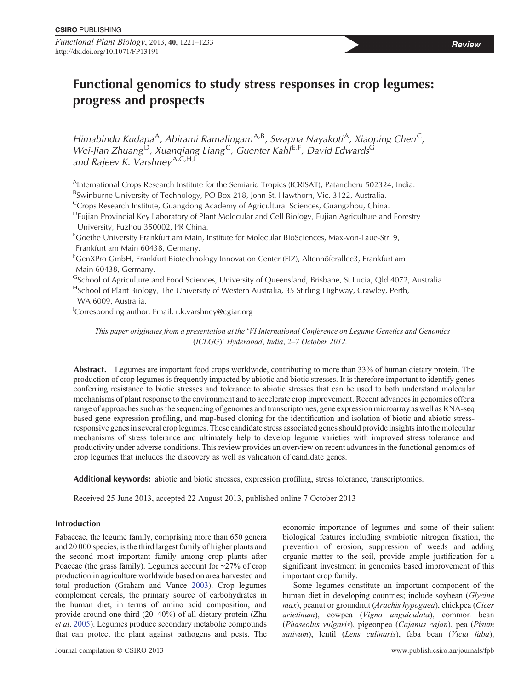**Functional Plant Biology, 2013, 40, 1221–1233** http://dx.doi.org/10.1071/FP13191

# **Functional genomics to study stress responses in crop legumes: progress and prospects**

*Himabindu Kudapa<sup>A</sup>, Abirami Ramalingam<sup>A,B</sup>, Swapna Nayakoti<sup>A</sup>, Xiaoping Chen<sup>C</sup>, Wei-Jian Zhuang<sup>D</sup>, Xuanqiang Liang<sup>C</sup>, Guenter Kahl<sup>E,F</sup>, David Edwards<sup>G</sup> and Rajeev K. Varshney*A*,*C*,*H*,*<sup>I</sup>

AInternational Crops Research Institute for the Semiarid Tropics (ICRISAT), Patancheru 502324, India. <sup>B</sup>Swinburne University of Technology, PO Box 218, John St, Hawthorn, Vic. 3122, Australia. <sup>C</sup>Crops Research Institute, Guangdong Academy of Agricultural Sciences, Guangzhou, China.

DFujian Provincial Key Laboratory of Plant Molecular and Cell Biology, Fujian Agriculture and Forestry University, Fuzhou 350002, PR China.

<sup>E</sup>Goethe University Frankfurt am Main, Institute for Molecular BioSciences, Max-von-Laue-Str. 9, Frankfurt am Main 60438, Germany.

<sup>F</sup>GenXPro GmbH, Frankfurt Biotechnology Innovation Center (FIZ), Altenhöferallee3, Frankfurt am Main 60438, Germany.

<sup>G</sup>School of Agriculture and Food Sciences, University of Queensland, Brisbane, St Lucia, Qld 4072, Australia.

<sup>H</sup>School of Plant Biology, The University of Western Australia, 35 Stirling Highway, Crawley, Perth, WA 6009, Australia.

<sup>I</sup>Corresponding author. Email: [r.k.varshney@cgiar.org](mailto:r.k.varshney@cgiar.org)

*This paper originates from a presentation at the* '*VI International Conference on Legume Genetics and Genomics* (*ICLGG*)' *Hyderabad*, *India*, *2*–*7 October 2012.*

**Abstract.** Legumes are important food crops worldwide, contributing to more than 33% of human dietary protein. The production of crop legumes is frequently impacted by abiotic and biotic stresses. It is therefore important to identify genes conferring resistance to biotic stresses and tolerance to abiotic stresses that can be used to both understand molecular mechanisms of plant response to the environment and to accelerate crop improvement. Recent advances in genomics offer a range of approaches such as the sequencing of genomes and transcriptomes, gene expression microarray as well as RNA-seq based gene expression profiling, and map-based cloning for the identification and isolation of biotic and abiotic stressresponsive genes in several crop legumes. These candidate stress associated genes should provide insights into the molecular mechanisms of stress tolerance and ultimately help to develop legume varieties with improved stress tolerance and productivity under adverse conditions. This review provides an overview on recent advances in the functional genomics of crop legumes that includes the discovery as well as validation of candidate genes.

**Additional keywords:** abiotic and biotic stresses, expression profiling, stress tolerance, transcriptomics.

Received 25 June 2013, accepted 22 August 2013, published online 7 October 2013

# **Introduction**

Fabaceae, the legume family, comprising more than 650 genera and 20 000 species, is the third largest family of higher plants and the second most important family among crop plants after Poaceae (the grass family). Legumes account for  $\sim$ 27% of crop production in agriculture worldwide based on area harvested and total production (Graham and Vance [2003\)](#page-9-0). Crop legumes complement cereals, the primary source of carbohydrates in the human diet, in terms of amino acid composition, and provide around one-third (20–40%) of all dietary protein (Zhu *et al*. [2005](#page-12-0)). Legumes produce secondary metabolic compounds that can protect the plant against pathogens and pests. The

economic importance of legumes and some of their salient biological features including symbiotic nitrogen fixation, the prevention of erosion, suppression of weeds and adding organic matter to the soil, provide ample justification for a significant investment in genomics based improvement of this important crop family.

Some legumes constitute an important component of the human diet in developing countries; include soybean (*Glycine max*), peanut or groundnut (*Arachis hypogaea*), chickpea (*Cicer arietinum*), cowpea (*Vigna unguiculata*), common bean (*Phaseolus vulgaris*), pigeonpea (*Cajanus cajan*), pea (*Pisum sativum*), lentil (*Lens culinaris*), faba bean (*Vicia faba*),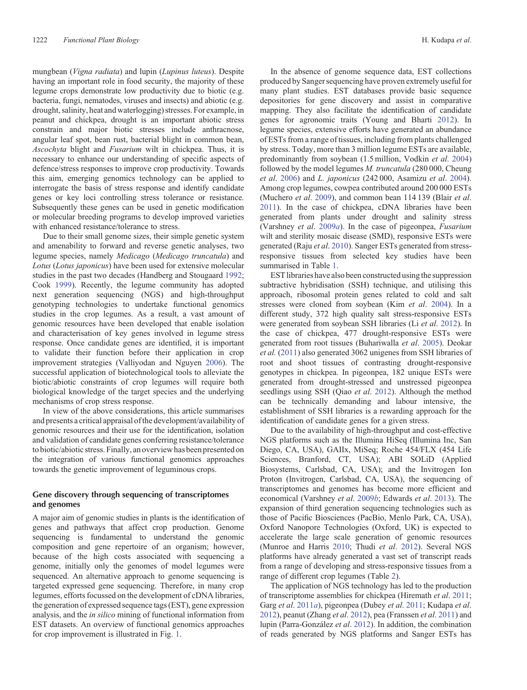mungbean (*Vigna radiata*) and lupin (*Lupinus luteus*). Despite having an important role in food security, the majority of these legume crops demonstrate low productivity due to biotic (e.g. bacteria, fungi, nematodes, viruses and insects) and abiotic (e.g. drought, salinity, heat and waterlogging) stresses. For example, in peanut and chickpea, drought is an important abiotic stress constrain and major biotic stresses include anthracnose, angular leaf spot, bean rust, bacterial blight in common bean, *Ascochyta* blight and *Fusarium* wilt in chickpea. Thus, it is necessary to enhance our understanding of specific aspects of defence/stress responses to improve crop productivity. Towards this aim, emerging genomics technology can be applied to interrogate the basis of stress response and identify candidate genes or key loci controlling stress tolerance or resistance. Subsequently these genes can be used in genetic modification or molecular breeding programs to develop improved varieties with enhanced resistance/tolerance to stress.

Due to their small genome sizes, their simple genetic system and amenability to forward and reverse genetic analyses, two legume species, namely *Medicago* (*Medicago truncatula*) and *Lotus* (*Lotus japonicus*) have been used for extensive molecular studies in the past two decades (Handberg and Stougaard [1992](#page-9-0); Cook [1999](#page-9-0)). Recently, the legume community has adopted next generation sequencing (NGS) and high-throughput genotyping technologies to undertake functional genomics studies in the crop legumes. As a result, a vast amount of genomic resources have been developed that enable isolation and characterisation of key genes involved in legume stress response. Once candidate genes are identified, it is important to validate their function before their application in crop improvement strategies (Valliyodan and Nguyen [2006](#page-12-0)). The successful application of biotechnological tools to alleviate the biotic/abiotic constraints of crop legumes will require both biological knowledge of the target species and the underlying mechanisms of crop stress response.

In view of the above considerations, this article summarises and presents a critical appraisal of the development/availability of genomic resources and their use for the identification, isolation and validation of candidate genes conferring resistance/tolerance to biotic/abiotic stress. Finally, an overview has been presented on the integration of various functional genomics approaches towards the genetic improvement of leguminous crops.

# **Gene discovery through sequencing of transcriptomes and genomes**

A major aim of genomic studies in plants is the identification of genes and pathways that affect crop production. Genome sequencing is fundamental to understand the genomic composition and gene repertoire of an organism; however, because of the high costs associated with sequencing a genome, initially only the genomes of model legumes were sequenced. An alternative approach to genome sequencing is targeted expressed gene sequencing. Therefore, in many crop legumes, efforts focussed on the development of cDNA libraries, the generation of expressed sequence tags (EST), gene expression analysis, and the *in silico* mining of functional information from EST datasets. An overview of functional genomics approaches for crop improvement is illustrated in Fig. [1](#page-2-0).

In the absence of genome sequence data, EST collections produced by Sanger sequencing have proven extremely useful for many plant studies. EST databases provide basic sequence depositories for gene discovery and assist in comparative mapping. They also facilitate the identification of candidate genes for agronomic traits (Young and Bharti [2012](#page-12-0)). In legume species, extensive efforts have generated an abundance of ESTs from a range of tissues, including from plants challenged by stress. Today, more than 3 million legume ESTs are available, predominantly from soybean (1.5 million, Vodkin *et al*. [2004\)](#page-12-0) followed by the model legumes *M. truncatula* (280 000, Cheung *et al*. [2006\)](#page-9-0) and *L. japonicus* (242 000, Asamizu *et al*. [2004](#page-8-0)). Among crop legumes, cowpea contributed around 200 000 ESTs (Muchero *et al*. [2009\)](#page-11-0), and common bean 114 139 (Blair *et al*. [2011\)](#page-9-0). In the case of chickpea, cDNA libraries have been generated from plants under drought and salinity stress (Varshney *et al*. [2009](#page-12-0)*a*). In the case of pigeonpea, *Fusarium* wilt and sterility mosaic disease (SMD), responsive ESTs were generated (Raju *et al*. [2010\)](#page-11-0). Sanger ESTs generated from stressresponsive tissues from selected key studies have been summarised in Table [1](#page-3-0).

ESTlibraries have also been constructed using the suppression subtractive hybridisation (SSH) technique, and utilising this approach, ribosomal protein genes related to cold and salt stresses were cloned from soybean (Kim *et al*. [2004](#page-10-0)). In a different study, 372 high quality salt stress-responsive ESTs were generated from soybean SSH libraries (Li *et al*. [2012\)](#page-10-0). In the case of chickpea, 477 drought-responsive ESTs were generated from root tissues (Buhariwalla *et al*. [2005](#page-9-0)). Deokar *et al.* [\(2011](#page-9-0)) also generated 3062 unigenes from SSH libraries of root and shoot tissues of contrasting drought-responsive genotypes in chickpea. In pigeonpea, 182 unique ESTs were generated from drought-stressed and unstressed pigeonpea seedlings using SSH (Qiao *et al*. [2012](#page-11-0)). Although the method can be technically demanding and labour intensive, the establishment of SSH libraries is a rewarding approach for the identification of candidate genes for a given stress.

Due to the availability of high-throughput and cost-effective NGS platforms such as the Illumina HiSeq (Illumina Inc, San Diego, CA, USA), GAIIx, MiSeq; Roche 454/FLX (454 Life Sciences, Branford, CT, USA); ABI SOLiD (Applied Biosystems, Carlsbad, CA, USA); and the Invitrogen Ion Proton (Invitrogen, Carlsbad, CA, USA), the sequencing of transcriptomes and genomes has become more efficient and economical (Varshney *et al*. [2009](#page-12-0)*b*; Edwards *et al*. [2013\)](#page-9-0). The expansion of third generation sequencing technologies such as those of Pacific Biosciences (PacBio, Menlo Park, CA, USA), Oxford Nanopore Technologies (Oxford, UK) is expected to accelerate the large scale generation of genomic resources (Munroe and Harris [2010](#page-11-0); Thudi *et al*. [2012](#page-12-0)). Several NGS platforms have already generated a vast set of transcript reads from a range of developing and stress-responsive tissues from a range of different crop legumes (Table [2](#page-3-0)).

The application of NGS technology has led to the production of transcriptome assemblies for chickpea (Hiremath *et al*. [2011](#page-9-0); Garg *et al*. [2011](#page-9-0)*a*), pigeonpea (Dubey *et al*. [2011;](#page-9-0) Kudapa *et al*. [2012\)](#page-10-0), peanut (Zhang *et al*. [2012\)](#page-12-0), pea (Franssen *et al*. [2011](#page-9-0)) and lupin (Parra-González *et al*. [2012\)](#page-11-0). In addition, the combination of reads generated by NGS platforms and Sanger ESTs has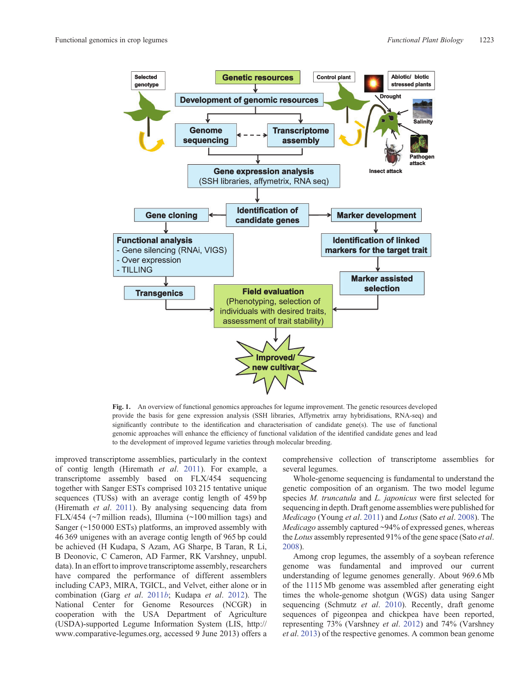<span id="page-2-0"></span>

**Fig. 1.** An overview of functional genomics approaches for legume improvement. The genetic resources developed provide the basis for gene expression analysis (SSH libraries, Affymetrix array hybridisations, RNA-seq) and significantly contribute to the identification and characterisation of candidate gene(s). The use of functional genomic approaches will enhance the efficiency of functional validation of the identified candidate genes and lead to the development of improved legume varieties through molecular breeding.

improved transcriptome assemblies, particularly in the context of contig length (Hiremath *et al*. [2011\)](#page-9-0). For example, a transcriptome assembly based on FLX/454 sequencing together with Sanger ESTs comprised 103 215 tentative unique sequences (TUSs) with an average contig length of 459 bp (Hiremath *et al*. [2011\)](#page-9-0). By analysing sequencing data from FLX/454 (~7 million reads), Illumina (~100 million tags) and Sanger (~150 000 ESTs) platforms, an improved assembly with 46 369 unigenes with an average contig length of 965 bp could be achieved (H Kudapa, S Azam, AG Sharpe, B Taran, R Li, B Deonovic, C Cameron, AD Farmer, RK Varshney, unpubl. data). In an effort to improve transcriptome assembly, researchers have compared the performance of different assemblers including CAP3, MIRA, TGICL, and Velvet, either alone or in combination (Garg *et al*. [2011](#page-9-0)*b*; Kudapa *et al*. [2012\)](#page-10-0). The National Center for Genome Resources (NCGR) in cooperation with the USA Department of Agriculture (USDA)-supported Legume Information System (LIS, http:// www.comparative-legumes.org, accessed 9 June 2013) offers a

comprehensive collection of transcriptome assemblies for several legumes.

Whole-genome sequencing is fundamental to understand the genetic composition of an organism. The two model legume species *M. truncatula* and *L. japonicus* were first selected for sequencing in depth. Draft genome assemblies were published for *Medicago* (Young *et al*. [2011](#page-12-0)) and *Lotus* (Sato *et al*. [2008](#page-11-0)). The *Medicago* assembly captured ~94% of expressed genes, whereas the *Lotus* assembly represented 91% of the gene space (Sato *et al*. [2008](#page-11-0)).

Among crop legumes, the assembly of a soybean reference genome was fundamental and improved our current understanding of legume genomes generally. About 969.6 Mb of the 1115 Mb genome was assembled after generating eight times the whole-genome shotgun (WGS) data using Sanger sequencing (Schmutz *et al*. [2010](#page-11-0)). Recently, draft genome sequences of pigeonpea and chickpea have been reported, representing 73% (Varshney *et al*. [2012\)](#page-12-0) and 74% (Varshney *et al*. [2013\)](#page-12-0) of the respective genomes. A common bean genome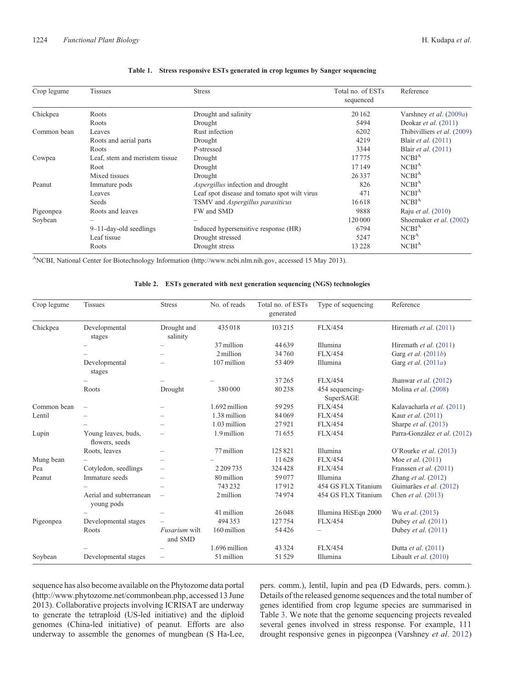<span id="page-3-0"></span>

| Crop legume | <b>Tissues</b>                 | <b>Stress</b>                                | Total no. of ESTs<br>sequenced | Reference                   |
|-------------|--------------------------------|----------------------------------------------|--------------------------------|-----------------------------|
| Chickpea    | Roots                          | Drought and salinity                         | 20162                          | Varshney et al. (2009a)     |
|             | Roots                          | Drought                                      | 5494                           | Deokar et al. $(2011)$      |
| Common bean | Leaves                         | Rust infection                               | 6202                           | Thibivilliers et al. (2009) |
|             | Roots and aerial parts         | Drought                                      | 4219                           | Blair et al. (2011)         |
|             | Roots                          | P-stressed                                   | 3344                           | Blair et al. (2011)         |
| Cowpea      | Leaf, stem and meristem tissue | Drought                                      | 17775                          | NCBI <sup>A</sup>           |
|             | Root                           | Drought                                      | 17149                          | NCBI <sup>A</sup>           |
|             | Mixed tissues                  | Drought                                      | 26337                          | NCBI <sup>A</sup>           |
| Peanut      | Immature pods                  | <i>Aspergillus</i> infection and drought     | 826                            | NCBI <sup>A</sup>           |
|             | Leaves                         | Leaf spot disease and tomato spot wilt virus | 471                            | NCBI <sup>A</sup>           |
|             | Seeds                          | TSMV and Aspergillus parasiticus             | 16618                          | NCBI <sup>A</sup>           |
| Pigeonpea   | Roots and leaves               | FW and SMD                                   | 9888                           | Raju et al. (2010)          |
| Soybean     |                                |                                              | 120 000                        | Shoemaker et al. (2002)     |
|             | $9-11$ -day-old seedlings      | Induced hypersensitive response (HR)         | 6794                           | NCBI <sup>A</sup>           |
|             | Leaf tissue                    | Drought stressed                             | 5247                           | NCB <sup>A</sup>            |
|             | Roots                          | Drought stress                               | 13228                          | NCBI <sup>A</sup>           |

#### **Table 1. Stress responsive ESTs generated in crop legumes by Sanger sequencing**

ANCBI, National Center for Biotechnology Information (http://www.ncbi.nlm.nih.gov, accessed 15 May 2013).

#### **Table 2. ESTs generated with next generation sequencing (NGS) technologies**

| Crop legume | <b>Tissues</b>                        | <b>Stress</b>            | No. of reads  | Total no. of ESTs<br>generated | Type of sequencing           | Reference                     |
|-------------|---------------------------------------|--------------------------|---------------|--------------------------------|------------------------------|-------------------------------|
| Chickpea    | Developmental<br>stages               | Drought and<br>salinity  | 435018        | 103 215                        | FLX/454                      | Hiremath et al. (2011)        |
|             |                                       |                          | 37 million    | 44 639                         | Illumina                     | Hiremath et al. $(2011)$      |
|             |                                       |                          | 2 million     | 34760                          | FLX/454                      | Garg et al. $(2011b)$         |
|             | Developmental                         |                          | 107 million   | 53409                          | Illumina                     | Garg et al. $(2011a)$         |
|             | stages                                |                          |               |                                |                              |                               |
|             |                                       |                          |               | 37265                          | FLX/454                      | Jhanwar et al. $(2012)$       |
|             | Roots                                 | Drought                  | 380 000       | 80238                          | 454 sequencing-<br>SuperSAGE | Molina et al. (2008)          |
| Common bean | $\overline{\phantom{m}}$              |                          | 1.692 million | 59295                          | <b>FLX/454</b>               | Kalavacharla et al. (2011)    |
| Lentil      |                                       |                          | 1.38 million  | 84 0 69                        | FLX/454                      | Kaur et al. (2011)            |
|             |                                       |                          | 1.03 million  | 27921                          | FLX/454                      | Sharpe <i>et al.</i> $(2013)$ |
| Lupin       | Young leaves, buds,<br>flowers, seeds |                          | 1.9 million   | 71655                          | FLX/454                      | Parra-González et al. (2012)  |
|             | Roots, leaves                         | -                        | 77 million    | 125821                         | Illumina                     | O'Rourke et al. (2013)        |
| Mung bean   |                                       |                          |               | 11628                          | FLX/454                      | Moe et al. (2011)             |
| Pea         | Cotyledon, seedlings                  |                          | 2 2 0 9 7 3 5 | 324 428                        | FLX/454                      | Franssen et al. $(2011)$      |
| Peanut      | Immature seeds                        |                          | 80 million    | 59077                          | Illumina                     | Zhang et al. $(2012)$         |
|             |                                       |                          | 743 232       | 17912                          | 454 GS FLX Titanium          | Guimarães et al. (2012)       |
|             | Aerial and subterranean<br>young pods | $\qquad \qquad -$        | 2 million     | 74974                          | 454 GS FLX Titanium          | Chen et al. (2013)            |
|             |                                       |                          | 41 million    | 26 048                         | Illumina HiSEqn 2000         | Wu et al. (2013)              |
| Pigeonpea   | Developmental stages                  |                          | 494 353       | 127754                         | FLX/454                      | Dubey et al. (2011)           |
|             | Roots                                 | Fusarium wilt<br>and SMD | 160 million   | 54426                          |                              | Dubey <i>et al.</i> $(2011)$  |
|             |                                       |                          | 1.696 million | 43 3 24                        | FLX/454                      | Dutta et al. (2011)           |
| Soybean     | Developmental stages                  |                          | 51 million    | 51 529                         | Illumina                     | Libault et al. (2010)         |

sequence has also become available on the Phytozome data portal (http://www.phytozome.net/commonbean.php, accessed 13 June 2013). Collaborative projects involving ICRISAT are underway to generate the tetraploid (US-led initiative) and the diploid genomes (China-led initiative) of peanut. Efforts are also underway to assemble the genomes of mungbean (S Ha-Lee, pers. comm.), lentil, lupin and pea (D Edwards, pers. comm.). Details of the released genome sequences and the total number of genes identified from crop legume species are summarised in Table [3](#page-4-0). We note that the genome sequencing projects revealed several genes involved in stress response. For example, 111 drought responsive genes in pigeonpea (Varshney *et al*. [2012\)](#page-12-0)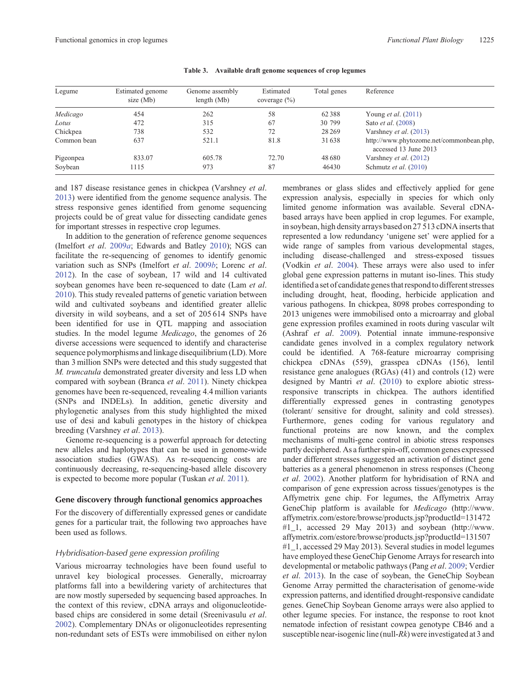<span id="page-4-0"></span>

| Legume      | Estimated genome<br>size (Mb) | Genome assembly<br>length $(Mb)$ | Estimated<br>coverage $(\% )$ | Total genes | Reference                                                         |
|-------------|-------------------------------|----------------------------------|-------------------------------|-------------|-------------------------------------------------------------------|
| Medicago    | 454                           | 262                              | 58                            | 62388       | Young <i>et al.</i> $(2011)$                                      |
| Lotus       | 472                           | 315                              | 67                            | 30 799      | Sato <i>et al.</i> (2008)                                         |
| Chickpea    | 738                           | 532                              | 72                            | 28 2 6 9    | Varshney et al. (2013)                                            |
| Common bean | 637                           | 521.1                            | 81.8                          | 31638       | http://www.phytozome.net/commonbean.php,<br>accessed 13 June 2013 |
| Pigeonpea   | 833.07                        | 605.78                           | 72.70                         | 48680       | Varshney <i>et al.</i> (2012)                                     |
| Soybean     | 1115                          | 973                              | 87                            | 46430       | Schmutz et al. (2010)                                             |

|  | Table 3. Available draft genome sequences of crop legumes |  |  |  |  |
|--|-----------------------------------------------------------|--|--|--|--|
|--|-----------------------------------------------------------|--|--|--|--|

and 187 disease resistance genes in chickpea (Varshney *et al*. [2013](#page-12-0)) were identified from the genome sequence analysis. The stress responsive genes identified from genome sequencing projects could be of great value for dissecting candidate genes for important stresses in respective crop legumes.

In addition to the generation of reference genome sequences (Imelfort *et al*. [2009](#page-10-0)*a*; Edwards and Batley [2010](#page-9-0)); NGS can facilitate the re-sequencing of genomes to identify genomic variation such as SNPs (Imelfort *et al*. [2009](#page-10-0)*b*; Lorenc *et al*. [2012](#page-10-0)). In the case of soybean, 17 wild and 14 cultivated soybean genomes have been re-sequenced to date (Lam *et al*. [2010](#page-10-0)). This study revealed patterns of genetic variation between wild and cultivated soybeans and identified greater allelic diversity in wild soybeans, and a set of 205 614 SNPs have been identified for use in QTL mapping and association studies. In the model legume *Medicago*, the genomes of 26 diverse accessions were sequenced to identify and characterise sequence polymorphisms and linkage disequilibrium (LD). More than 3 million SNPs were detected and this study suggested that *M. truncatula* demonstrated greater diversity and less LD when compared with soybean (Branca *et al*. [2011\)](#page-9-0). Ninety chickpea genomes have been re-sequenced, revealing 4.4 million variants (SNPs and INDELs). In addition, genetic diversity and phylogenetic analyses from this study highlighted the mixed use of desi and kabuli genotypes in the history of chickpea breeding (Varshney *et al*. [2013](#page-12-0)).

Genome re-sequencing is a powerful approach for detecting new alleles and haplotypes that can be used in genome-wide association studies (GWAS). As re-sequencing costs are continuously decreasing, re-sequencing-based allele discovery is expected to become more popular (Tuskan *et al*. [2011](#page-12-0)).

#### **Gene discovery through functional genomics approaches**

For the discovery of differentially expressed genes or candidate genes for a particular trait, the following two approaches have been used as follows.

#### *Hybridisation-based gene expression profiling*

Various microarray technologies have been found useful to unravel key biological processes. Generally, microarray platforms fall into a bewildering variety of architectures that are now mostly superseded by sequencing based approaches. In the context of this review, cDNA arrays and oligonucleotidebased chips are considered in some detail (Sreenivasulu *et al*. [2002](#page-11-0)). Complementary DNAs or oligonucleotides representing non-redundant sets of ESTs were immobilised on either nylon

membranes or glass slides and effectively applied for gene expression analysis, especially in species for which only limited genome information was available. Several cDNAbased arrays have been applied in crop legumes. For example, in soybean, high density arrays based on 27 513 cDNA inserts that represented a low redundancy 'unigene set' were applied for a wide range of samples from various developmental stages, including disease-challenged and stress-exposed tissues (Vodkin *et al*. [2004](#page-12-0)). These arrays were also used to infer global gene expression patterns in mutant iso-lines. This study identified a set of candidate genes that respondto different stresses including drought, heat, flooding, herbicide application and various pathogens. In chickpea, 8098 probes corresponding to 2013 unigenes were immobilised onto a microarray and global gene expression profiles examined in roots during vascular wilt (Ashraf *et al*. [2009](#page-8-0)). Potential innate immune-responsive candidate genes involved in a complex regulatory network could be identified. A 768-feature microarray comprising chickpea cDNAs (559), grasspea cDNAs (156), lentil resistance gene analogues (RGAs) (41) and controls (12) were designed by Mantri *et al*. [\(2010\)](#page-10-0) to explore abiotic stressresponsive transcripts in chickpea. The authors identified differentially expressed genes in contrasting genotypes (tolerant/ sensitive for drought, salinity and cold stresses). Furthermore, genes coding for various regulatory and functional proteins are now known, and the complex mechanisms of multi-gene control in abiotic stress responses partly deciphered. As a further spin-off, common genes expressed under different stresses suggested an activation of distinct gene batteries as a general phenomenon in stress responses (Cheong *et al*. [2002](#page-9-0)). Another platform for hybridisation of RNA and comparison of gene expression across tissues/genotypes is the Affymetrix gene chip. For legumes, the Affymetrix Array GeneChip platform is available for *Medicago* (http://www. affymetrix.com/estore/browse/products.jsp?productId=131472 #1\_1, accessed 29 May 2013) and soybean (http://www. affymetrix.com/estore/browse/products.jsp?productId=131507 #1\_1, accessed 29 May 2013). Several studies in model legumes have employed these GeneChip Genome Arrays for research into developmental or metabolic pathways (Pang *et al*. [2009](#page-11-0); Verdier *et al*. [2013\)](#page-12-0). In the case of soybean, the GeneChip Soybean Genome Array permitted the characterisation of genome-wide expression patterns, and identified drought-responsive candidate genes. GeneChip Soybean Genome arrays were also applied to other legume species. For instance, the response to root knot nematode infection of resistant cowpea genotype CB46 and a susceptible near-isogenic line (null-*Rk*) were investigated at 3 and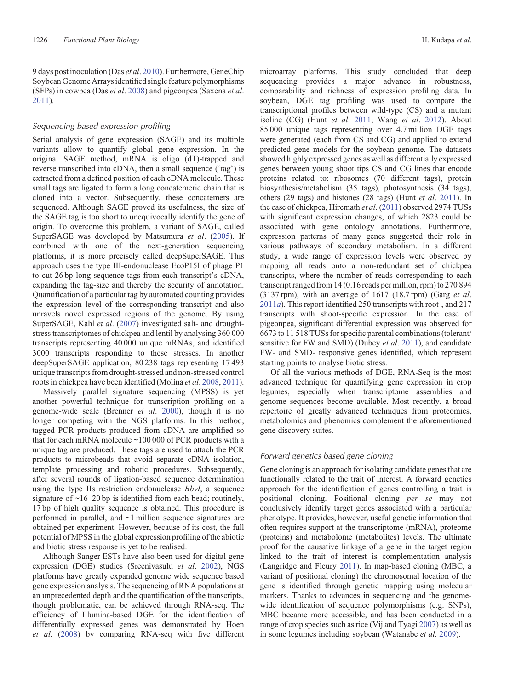9 days post inoculation (Das *et al*. [2010](#page-9-0)). Furthermore, GeneChip Soybean Genome Arrays identified single feature polymorphisms (SFPs) in cowpea (Das *et al*. [2008\)](#page-9-0) and pigeonpea (Saxena *et al*. [2011\)](#page-11-0).

#### *Sequencing-based expression profiling*

Serial analysis of gene expression (SAGE) and its multiple variants allow to quantify global gene expression. In the original SAGE method, mRNA is oligo (dT)-trapped and reverse transcribed into cDNA, then a small sequence ('tag') is extracted from a defined position of each cDNA molecule. These small tags are ligated to form a long concatemeric chain that is cloned into a vector. Subsequently, these concatemers are sequenced. Although SAGE proved its usefulness, the size of the SAGE tag is too short to unequivocally identify the gene of origin. To overcome this problem, a variant of SAGE, called SuperSAGE was developed by Matsumura *et al*. ([2005\)](#page-10-0). If combined with one of the next-generation sequencing platforms, it is more precisely called deepSuperSAGE. This approach uses the type III-endonuclease EcoP15I of phage P1 to cut 26 bp long sequence tags from each transcript's cDNA, expanding the tag-size and thereby the security of annotation. Quantification of a particular tag by automated counting provides the expression level of the corresponding transcript and also unravels novel expressed regions of the genome. By using SuperSAGE, Kahl *et al*. ([2007\)](#page-10-0) investigated salt- and droughtstress transcriptomes of chickpea and lentil by analysing 360 000 transcripts representing 40 000 unique mRNAs, and identified 3000 transcripts responding to these stresses. In another deepSuperSAGE application, 80 238 tags representing 17 493 unique transcripts from drought-stressed and non-stressed control roots in chickpea have been identified (Molina *et al*. [2008](#page-11-0), [2011](#page-11-0)).

Massively parallel signature sequencing (MPSS) is yet another powerful technique for transcription profiling on a genome-wide scale (Brenner *et al*. [2000\)](#page-9-0), though it is no longer competing with the NGS platforms. In this method, tagged PCR products produced from cDNA are amplified so that for each mRNA molecule ~100 000 of PCR products with a unique tag are produced. These tags are used to attach the PCR products to microbeads that avoid separate cDNA isolation, template processing and robotic procedures. Subsequently, after several rounds of ligation-based sequence determination using the type IIs restriction endonuclease *BbvI*, a sequence signature of  $\sim$ 16–20 bp is identified from each bead; routinely, 17 bp of high quality sequence is obtained. This procedure is performed in parallel, and ~1 million sequence signatures are obtained per experiment. However, because of its cost, the full potential of MPSS in the global expression profiling of the abiotic and biotic stress response is yet to be realised.

Although Sanger ESTs have also been used for digital gene expression (DGE) studies (Sreenivasulu *et al*. [2002](#page-11-0)), NGS platforms have greatly expanded genome wide sequence based gene expression analysis. The sequencing of RNA populations at an unprecedented depth and the quantification of the transcripts, though problematic, can be achieved through RNA-seq. The efficiency of Illumina-based DGE for the identification of differentially expressed genes was demonstrated by Hoen *et al*. ([2008\)](#page-10-0) by comparing RNA-seq with five different

microarray platforms. This study concluded that deep sequencing provides a major advance in robustness, comparability and richness of expression profiling data. In soybean, DGE tag profiling was used to compare the transcriptional profiles between wild-type (CS) and a mutant isoline (CG) (Hunt *et al*. [2011](#page-10-0); Wang *et al*. [2012](#page-12-0)). About 85 000 unique tags representing over 4.7 million DGE tags were generated (each from CS and CG) and applied to extend predicted gene models for the soybean genome. The datasets showed highly expressed genes as well as differentially expressed genes between young shoot tips CS and CG lines that encode proteins related to: ribosomes (70 different tags), protein biosynthesis/metabolism (35 tags), photosynthesis (34 tags), others (29 tags) and histones (28 tags) (Hunt *et al*. [2011](#page-10-0)). In the case of chickpea, Hiremath *et al*. ([2011](#page-9-0)) observed 2974 TUSs with significant expression changes, of which 2823 could be associated with gene ontology annotations. Furthermore, expression patterns of many genes suggested their role in various pathways of secondary metabolism. In a different study, a wide range of expression levels were observed by mapping all reads onto a non-redundant set of chickpea transcripts, where the number of reads corresponding to each transcript ranged from 14 (0.16 reads per million, rpm) to 270 894 (3137 rpm), with an average of 1617 (18.7 rpm) (Garg *et al*. [2011](#page-9-0)*a*). This report identified 250 transcripts with root-, and 217 transcripts with shoot-specific expression. In the case of pigeonpea, significant differential expression was observed for 6673 to 11 518 TUSs for specific parental combinations (tolerant/ sensitive for FW and SMD) (Dubey *et al*. [2011\)](#page-9-0), and candidate FW- and SMD- responsive genes identified, which represent starting points to analyse biotic stress.

Of all the various methods of DGE, RNA-Seq is the most advanced technique for quantifying gene expression in crop legumes, especially when transcriptome assemblies and genome sequences become available. Most recently, a broad repertoire of greatly advanced techniques from proteomics, metabolomics and phenomics complement the aforementioned gene discovery suites.

# *Forward genetics based gene cloning*

Gene cloning is an approach for isolating candidate genes that are functionally related to the trait of interest. A forward genetics approach for the identification of genes controlling a trait is positional cloning. Positional cloning *per se* may not conclusively identify target genes associated with a particular phenotype. It provides, however, useful genetic information that often requires support at the transcriptome (mRNA), proteome (proteins) and metabolome (metabolites) levels. The ultimate proof for the causative linkage of a gene in the target region linked to the trait of interest is complementation analysis (Langridge and Fleury [2011\)](#page-10-0). In map-based cloning (MBC, a variant of positional cloning) the chromosomal location of the gene is identified through genetic mapping using molecular markers. Thanks to advances in sequencing and the genomewide identification of sequence polymorphisms (e.g. SNPs), MBC became more accessible, and has been conducted in a range of crop species such as rice (Vij and Tyagi [2007\)](#page-12-0) as well as in some legumes including soybean (Watanabe *et al*. [2009](#page-12-0)).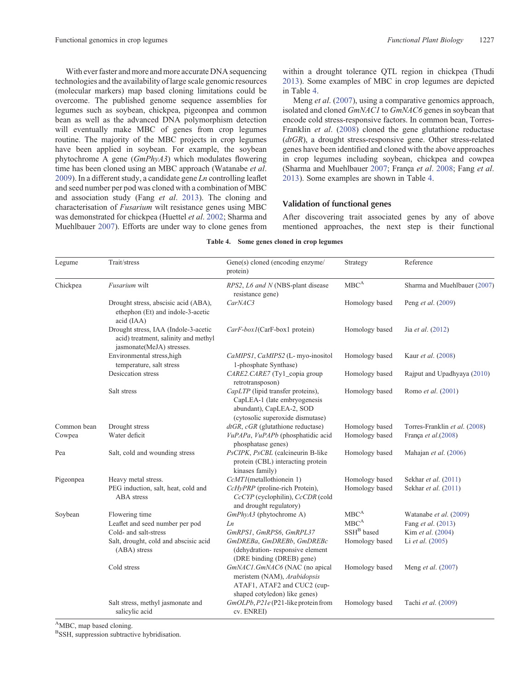With ever faster and more and more accurate DNA sequencing technologies and the availability of large scale genomic resources (molecular markers) map based cloning limitations could be overcome. The published genome sequence assemblies for legumes such as soybean, chickpea, pigeonpea and common bean as well as the advanced DNA polymorphism detection will eventually make MBC of genes from crop legumes routine. The majority of the MBC projects in crop legumes have been applied in soybean. For example, the soybean phytochrome A gene (*GmPhyA3*) which modulates flowering time has been cloned using an MBC approach (Watanabe *et al*. [2009](#page-12-0)). In a different study, a candidate gene *Ln* controlling leaflet and seed number per pod was cloned with a combination of MBC and association study (Fang *et al*. [2013\)](#page-9-0). The cloning and characterisation of *Fusarium* wilt resistance genes using MBC was demonstrated for chickpea (Huettel *et al*. [2002](#page-10-0); Sharma and Muehlbauer [2007\)](#page-11-0). Efforts are under way to clone genes from

within a drought tolerance QTL region in chickpea (Thudi [2013](#page-12-0)). Some examples of MBC in crop legumes are depicted in Table 4.

Meng *et al*. [\(2007](#page-10-0)), using a comparative genomics approach, isolated and cloned *GmNAC1* to *GmNAC6* genes in soybean that encode cold stress-responsive factors. In common bean, Torres-Franklin *et al*. [\(2008](#page-12-0)) cloned the gene glutathione reductase (*dtGR*), a drought stress-responsive gene. Other stress-related genes have been identified and cloned with the above approaches in crop legumes including soybean, chickpea and cowpea (Sharma and Muehlbauer [2007;](#page-11-0) França et al. [2008;](#page-9-0) Fang et al. [2013](#page-9-0)). Some examples are shown in Table 4.

# **Validation of functional genes**

After discovering trait associated genes by any of above mentioned approaches, the next step is their functional

| Legume      | Trait/stress                                                                                              | Gene(s) cloned (encoding enzyme/<br>protein)                                                                                      | Strategy                | Reference                     |
|-------------|-----------------------------------------------------------------------------------------------------------|-----------------------------------------------------------------------------------------------------------------------------------|-------------------------|-------------------------------|
| Chickpea    | Fusarium wilt                                                                                             | RPS2, L6 and N (NBS-plant disease<br>resistance gene)                                                                             | $\text{MBC}^{\text{A}}$ | Sharma and Muehlbauer (2007)  |
|             | Drought stress, abscisic acid (ABA),<br>ethephon (Et) and indole-3-acetic<br>acid (IAA)                   | CarNAC3                                                                                                                           | Homology based          | Peng et al. (2009)            |
|             | Drought stress, IAA (Indole-3-acetic<br>acid) treatment, salinity and methyl<br>jasmonate(MeJA) stresses. | CarF-box1(CarF-box1 protein)                                                                                                      | Homology based          | Jia et al. (2012)             |
|             | Environmental stress, high<br>temperature, salt stress                                                    | CaMIPS1, CaMIPS2 (L-myo-inositol<br>1-phosphate Synthase)                                                                         | Homology based          | Kaur et al. (2008)            |
|             | Desiccation stress                                                                                        | CARE2.CARE7 (Ty1_copia group<br>retrotransposon)                                                                                  | Homology based          | Rajput and Upadhyaya (2010)   |
|             | Salt stress                                                                                               | CapLTP (lipid transfer proteins),<br>CapLEA-1 (late embryogenesis<br>abundant), CapLEA-2, SOD<br>(cytosolic superoxide dismutase) | Homology based          | Romo et al. (2001)            |
| Common bean | Drought stress                                                                                            | $dt$ GR, $c$ GR (glutathione reductase)                                                                                           | Homology based          | Torres-Franklin et al. (2008) |
| Cowpea      | Water deficit                                                                                             | VuPAPa, VuPAPb (phosphatidic acid<br>phosphatase genes)                                                                           | Homology based          | França et al.(2008)           |
| Pea         | Salt, cold and wounding stress                                                                            | PsCIPK, PsCBL (calcineurin B-like<br>protein (CBL) interacting protein<br>kinases family)                                         | Homology based          | Mahajan et al. (2006)         |
| Pigeonpea   | Heavy metal stress.                                                                                       | CcMT1(metallothionein 1)                                                                                                          | Homology based          | Sekhar et al. (2011)          |
|             | PEG induction, salt, heat, cold and<br><b>ABA</b> stress                                                  | CcHyPRP (proline-rich Protein),<br>$CcCYP$ (cyclophilin), $CcCDR$ (cold<br>and drought regulatory)                                | Homology based          | Sekhar et al. (2011)          |
| Soybean     | Flowering time                                                                                            | $GmPhvA3$ (phytochrome A)                                                                                                         | MBC <sup>A</sup>        | Watanabe et al. (2009)        |
|             | Leaflet and seed number per pod                                                                           | Ln                                                                                                                                | MBC <sup>A</sup>        | Fang et al. (2013)            |
|             | Cold- and salt-stress                                                                                     | GmRPS1, GmRPS6, GmRPL37                                                                                                           | SSH <sup>B</sup> based  | Kim et al. (2004)             |
|             | Salt, drought, cold and abscisic acid<br>(ABA) stress                                                     | GmDREBa, GmDREBb, GmDREBc<br>(dehydration-responsive element<br>(DRE binding (DREB) gene)                                         | Homology based          | Li et al. (2005)              |
|             | Cold stress                                                                                               | GmNAC1.GmNAC6 (NAC (no apical<br>meristem (NAM), Arabidopsis<br>ATAF1, ATAF2 and CUC2 (cup-<br>shaped cotyledon) like genes)      | Homology based          | Meng et al. (2007)            |
|             | Salt stress, methyl jasmonate and<br>salicylic acid                                                       | GmOLPb, P21e (P21-like protein from<br>cv. ENREI)                                                                                 | Homology based          | Tachi et al. (2009)           |

**Table 4. Some genes cloned in crop legumes**

AMBC, map based cloning.

<sup>B</sup>SSH, suppression subtractive hybridisation.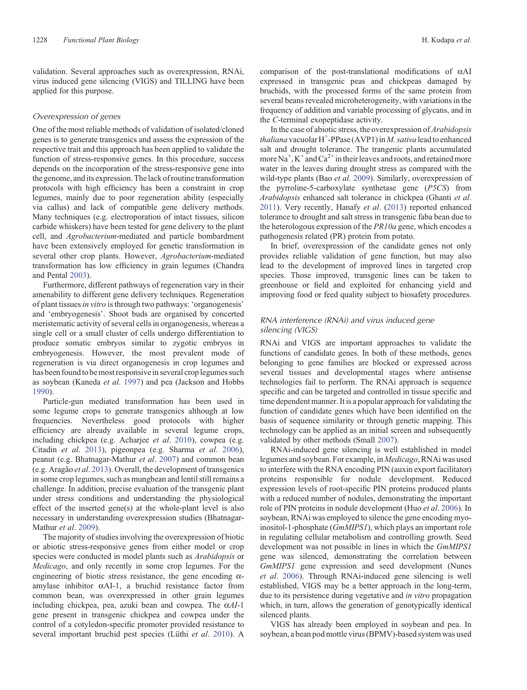validation. Several approaches such as overexpression, RNAi, virus induced gene silencing (VIGS) and TILLING have been applied for this purpose.

## *Overexpression of genes*

One of the most reliable methods of validation of isolated/cloned genes is to generate transgenics and assess the expression of the respective trait and this approach has been applied to validate the function of stress-responsive genes. In this procedure, success depends on the incorporation of the stress-responsive gene into the genome, andits expression. Thelack of routine transformation protocols with high efficiency has been a constraint in crop legumes, mainly due to poor regeneration ability (especially via callus) and lack of compatible gene delivery methods. Many techniques (e.g. electroporation of intact tissues, silicon carbide whiskers) have been tested for gene delivery to the plant cell, and *Agrobacterium*-mediated and particle bombardment have been extensively employed for genetic transformation in several other crop plants. However, *Agrobacterium*-mediated transformation has low efficiency in grain legumes (Chandra and Pental [2003\)](#page-9-0).

Furthermore, different pathways of regeneration vary in their amenability to different gene delivery techniques. Regeneration of plant tissues*in vitro* is through two pathways: 'organogenesis' and 'embryogenesis'. Shoot buds are organised by concerted meristematic activity of several cells in organogenesis, whereas a single cell or a small cluster of cells undergo differentiation to produce somatic embryos similar to zygotic embryos in embryogenesis. However, the most prevalent mode of regeneration is via direct organogenesis in crop legumes and has been found to be most responsive in several crop legumes such as soybean (Kaneda *et al*. [1997\)](#page-10-0) and pea (Jackson and Hobbs [1990\)](#page-10-0).

Particle-gun mediated transformation has been used in some legume crops to generate transgenics although at low frequencies. Nevertheless good protocols with higher efficiency are already available in several legume crops, including chickpea (e.g. Acharjee *et al*. [2010\)](#page-8-0), cowpea (e.g. Citadin *et al*. [2013](#page-9-0)), pigeonpea (e.g. Sharma *et al*. [2006](#page-11-0)), peanut (e.g. Bhatnagar-Mathur *et al*. [2007\)](#page-9-0) and common bean (e.g. Aragão *et al*. [2013\)](#page-8-0). Overall, the development of transgenics in some crop legumes, such as mungbean and lentil still remains a challenge. In addition, precise evaluation of the transgenic plant under stress conditions and understanding the physiological effect of the inserted gene(s) at the whole-plant level is also necessary in understanding overexpression studies (Bhatnagar-Mathur *et al*. [2009\)](#page-9-0).

The majority of studies involving the overexpression of biotic or abiotic stress-responsive genes from either model or crop species were conducted in model plants such as *Arabidopsis* or *Medicago*, and only recently in some crop legumes. For the engineering of biotic stress resistance, the gene encoding  $\alpha$ amylase inhibitor  $\alpha$ AI-1, a bruchid resistance factor from common bean, was overexpressed in other grain legumes including chickpea, pea, azuki bean and cowpea. The a*AI*-1 gene present in transgenic chickpea and cowpea under the control of a cotyledon-specific promoter provided resistance to several important bruchid pest species (Lüthi *et al*. [2010\)](#page-10-0). A

comparison of the post-translational modifications of  $\alpha$ AI expressed in transgenic peas and chickpeas damaged by bruchids, with the processed forms of the same protein from several beans revealed microheterogeneity, with variations in the frequency of addition and variable processing of glycans, and in the *C*-terminal exopeptidase activity.

In the case of abiotic stress, the overexpression of *Arabidopsis thaliana* vacuolar H+ -PPase (AVP1) in*M. sativa* lead to enhanced salt and drought tolerance. The trangenic plants accumulated more  $\text{Na}^+$ ,  $\text{K}^+$  and  $\text{Ca}^{2+}$  in their leaves and roots, and retained more water in the leaves during drought stress as compared with the wild-type plants (Bao *et al*. [2009](#page-8-0)). Similarly, overexpression of the pyrroline-5-carboxylate synthetase gene (*P5CS*) from *Arabidopsis* enhanced salt tolerance in chickpea (Ghanti *et al*. [2011\)](#page-10-0). Very recently, Hanafy *et al*. [\(2013](#page-9-0)) reported enhanced tolerance to drought and salt stress in transgenic faba bean due to the heterologous expression of the *PR10a* gene, which encodes a pathogenesis related (PR) protein from potato.

In brief, overexpression of the candidate genes not only provides reliable validation of gene function, but may also lead to the development of improved lines in targeted crop species. Those improved, transgenic lines can be taken to greenhouse or field and exploited for enhancing yield and improving food or feed quality subject to biosafety procedures.

# *RNA interference (RNAi) and virus induced gene silencing (VIGS)*

RNAi and VIGS are important approaches to validate the functions of candidate genes. In both of these methods, genes belonging to gene families are blocked or expressed across several tissues and developmental stages where antisense technologies fail to perform. The RNAi approach is sequence specific and can be targeted and controlled in tissue specific and time dependent manner. It is a popular approach for validating the function of candidate genes which have been identified on the basis of sequence similarity or through genetic mapping. This technology can be applied as an initial screen and subsequently validated by other methods (Small [2007\)](#page-11-0).

RNAi-induced gene silencing is well established in model legumes and soybean. For example, in *Medicago*, RNAi was used to interfere with the RNA encoding PIN (auxin export facilitator) proteins responsible for nodule development. Reduced expression levels of root-specific PIN proteins produced plants with a reduced number of nodules, demonstrating the important role of PIN proteins in nodule development (Huo *et al*. [2006\)](#page-10-0). In soybean, RNAi was employed to silence the gene encoding myoinositol-1-phosphate (*GmMIPS1*), which plays an important role in regulating cellular metabolism and controlling growth. Seed development was not possible in lines in which the *GmMIPS1* gene was silenced, demonstrating the correlation between *GmMIPS1* gene expression and seed development (Nunes *et al*. [2006](#page-11-0)). Through RNAi-induced gene silencing is well established, VIGS may be a better approach in the long-term, due to its persistence during vegetative and *in vitro* propagation which, in turn, allows the generation of genotypically identical silenced plants.

VIGS has already been employed in soybean and pea. In soybean, a bean pod mottle virus (BPMV)-based system was used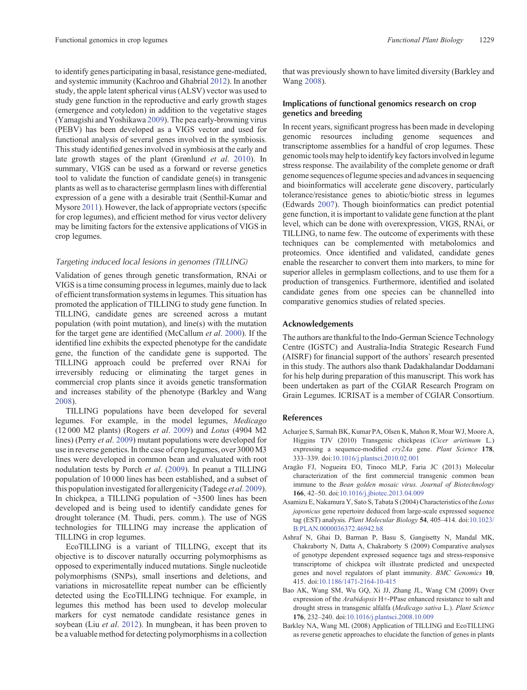<span id="page-8-0"></span>to identify genes participating in basal, resistance gene-mediated, and systemic immunity (Kachroo and Ghabrial [2012\)](#page-10-0). In another study, the apple latent spherical virus (ALSV) vector was used to study gene function in the reproductive and early growth stages (emergence and cotyledon) in addition to the vegetative stages (Yamagishi and Yoshikawa [2009\)](#page-12-0). The pea early-browning virus (PEBV) has been developed as a VIGS vector and used for functional analysis of several genes involved in the symbiosis. This study identified genes involved in symbiosis at the early and late growth stages of the plant (Grønlund *et al*. [2010](#page-9-0)). In summary, VIGS can be used as a forward or reverse genetics tool to validate the function of candidate gene(s) in transgenic plants as well as to characterise germplasm lines with differential expression of a gene with a desirable trait (Senthil-Kumar and Mysore [2011\)](#page-11-0). However, the lack of appropriate vectors (specific for crop legumes), and efficient method for virus vector delivery may be limiting factors for the extensive applications of VIGS in crop legumes.

#### *Targeting induced local lesions in genomes (TILLING)*

Validation of genes through genetic transformation, RNAi or VIGS is a time consuming process in legumes, mainly due to lack of efficient transformation systems in legumes. This situation has promoted the application of TILLING to study gene function. In TILLING, candidate genes are screened across a mutant population (with point mutation), and line(s) with the mutation for the target gene are identified (McCallum *et al*. [2000](#page-10-0)). If the identified line exhibits the expected phenotype for the candidate gene, the function of the candidate gene is supported. The TILLING approach could be preferred over RNAi for irreversibly reducing or eliminating the target genes in commercial crop plants since it avoids genetic transformation and increases stability of the phenotype (Barkley and Wang 2008).

TILLING populations have been developed for several legumes. For example, in the model legumes, *Medicago* (12 000 M2 plants) (Rogers *et al*. [2009\)](#page-11-0) and *Lotus* (4904 M2 lines) (Perry *et al*. [2009](#page-11-0)) mutant populations were developed for use in reverse genetics. In the case of crop legumes, over 3000 M3 lines were developed in common bean and evaluated with root nodulation tests by Porch *et al*. ([2009\)](#page-11-0). In peanut a TILLING population of 10 000 lines has been established, and a subset of this population investigated for allergenicity (Tadege *et al*. [2009](#page-11-0)). In chickpea, a TILLING population of  $\sim$ 3500 lines has been developed and is being used to identify candidate genes for drought tolerance (M. Thudi, pers. comm.). The use of NGS technologies for TILLING may increase the application of TILLING in crop legumes.

EcoTILLING is a variant of TILLING, except that its objective is to discover naturally occurring polymorphisms as opposed to experimentally induced mutations. Single nucleotide polymorphisms (SNPs), small insertions and deletions, and variations in microsatellite repeat number can be efficiently detected using the EcoTILLING technique. For example, in legumes this method has been used to develop molecular markers for cyst nematode candidate resistance genes in soybean (Liu *et al*. [2012\)](#page-10-0). In mungbean, it has been proven to be a valuable method for detecting polymorphisms in a collection

that was previously shown to have limited diversity (Barkley and Wang 2008).

# **Implications of functional genomics research on crop genetics and breeding**

In recent years, significant progress has been made in developing genomic resources including genome sequences and transcriptome assemblies for a handful of crop legumes. These genomic tools may help to identify key factors involved in legume stress response. The availability of the complete genome or draft genome sequences of legume species and advances in sequencing and bioinformatics will accelerate gene discovery, particularly tolerance/resistance genes to abiotic/biotic stress in legumes (Edwards [2007](#page-9-0)). Though bioinformatics can predict potential gene function, it is important to validate gene function at the plant level, which can be done with overexpression, VIGS, RNAi, or TILLING, to name few. The outcome of experiments with these techniques can be complemented with metabolomics and proteomics. Once identified and validated, candidate genes enable the researcher to convert them into markers, to mine for superior alleles in germplasm collections, and to use them for a production of transgenics. Furthermore, identified and isolated candidate genes from one species can be channelled into comparative genomics studies of related species.

# **Acknowledgements**

The authors are thankful to the Indo-German Science Technology Centre (IGSTC) and Australia-India Strategic Research Fund (AISRF) for financial support of the authors' research presented in this study. The authors also thank Dadakhalandar Doddamani for his help during preparation of this manuscript. This work has been undertaken as part of the CGIAR Research Program on Grain Legumes. ICRISAT is a member of CGIAR Consortium.

#### **References**

- Acharjee S, Sarmah BK, Kumar PA, Olsen K, Mahon R, Moar WJ, Moore A, Higgins TJV (2010) Transgenic chickpeas (*Cicer arietinum* L.) expressing a sequence-modified *cry2Aa* gene. *Plant Science* **178**, 333–339. doi:[10.1016/j.plantsci.2010.02.001](dx.doi.org/10.1016/j.plantsci.2010.02.001)
- Aragão FJ, Nogueira EO, Tinoco MLP, Faria JC (2013) Molecular characterization of the first commercial transgenic common bean immune to the *Bean golden mosaic virus. Journal of Biotechnology* **166**, 42–50. doi:[10.1016/j.jbiotec.2013.04.009](dx.doi.org/10.1016/j.jbiotec.2013.04.009)
- Asamizu E, Nakamura Y, Sato S, Tabata S (2004) Characteristics of the *Lotus japonicus* gene repertoire deduced from large-scale expressed sequence tag (EST) analysis. *Plant Molecular Biology* **54**, 405–414. doi:[10.1023/](dx.doi.org/10.1023/B:PLAN.0000036372.46942.b8) [B:PLAN.0000036372.46942.b8](dx.doi.org/10.1023/B:PLAN.0000036372.46942.b8)
- Ashraf N, Ghai D, Barman P, Basu S, Gangisetty N, Mandal MK, Chakraborty N, Datta A, Chakraborty S (2009) Comparative analyses of genotype dependent expressed sequence tags and stress-responsive transcriptome of chickpea wilt illustrate predicted and unexpected genes and novel regulators of plant immunity. *BMC Genomics* **10**, 415. doi[:10.1186/1471-2164-10-415](dx.doi.org/10.1186/1471-2164-10-415)
- Bao AK, Wang SM, Wu GQ, Xi JJ, Zhang JL, Wang CM (2009) Over expression of the *Arabidopsis* H+-PPase enhanced resistance to salt and drought stress in transgenic alfalfa (*Medicago sativa* L.). *Plant Science* **176**, 232–240. doi:[10.1016/j.plantsci.2008.10.009](dx.doi.org/10.1016/j.plantsci.2008.10.009)
- Barkley NA, Wang ML (2008) Application of TILLING and EcoTILLING as reverse genetic approaches to elucidate the function of genes in plants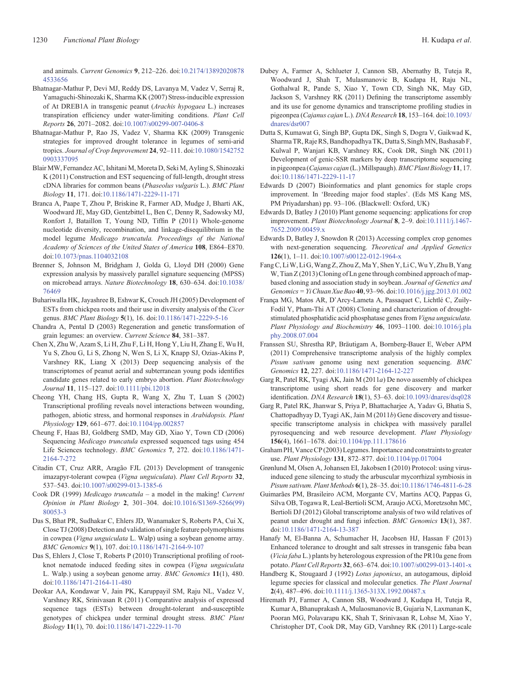<span id="page-9-0"></span>and animals. *Current Genomics* **9**, 212–226. doi[:10.2174/13892020878](dx.doi.org/10.2174/138920208784533656) [4533656](dx.doi.org/10.2174/138920208784533656)

- Bhatnagar-Mathur P, Devi MJ, Reddy DS, Lavanya M, Vadez V, Serraj R, Yamaguchi-Shinozaki K, Sharma KK (2007) Stress-inducible expression of At DREB1A in transgenic peanut (*Arachis hypogaea* L.) increases transpiration efficiency under water-limiting conditions. *Plant Cell Reports* **26**, 2071–2082. doi:[10.1007/s00299-007-0406-8](dx.doi.org/10.1007/s00299-007-0406-8)
- Bhatnagar-Mathur P, Rao JS, Vadez V, Sharma KK (2009) Transgenic strategies for improved drought tolerance in legumes of semi-arid tropics. *Journal of Crop Improvement* **24**, 92–111. doi[:10.1080/1542752](dx.doi.org/10.1080/15427520903337095) [0903337095](dx.doi.org/10.1080/15427520903337095)
- Blair MW, Fernandez AC, Ishitani M, Moreta D, Seki M, Ayling S, Shinozaki K (2011) Construction and EST sequencing of full-length, drought stress cDNA libraries for common beans (*Phaseolus vulgaris* L.). *BMC Plant Biology* **11**, 171. doi[:10.1186/1471-2229-11-171](dx.doi.org/10.1186/1471-2229-11-171)
- Branca A, Paape T, Zhou P, Briskine R, Farmer AD, Mudge J, Bharti AK, Woodward JE, May GD, Gentzbittel L, Ben C, Denny R, Sadowsky MJ, Ronfort J, Bataillon T, Young ND, Tiffin P (2011) Whole-genome nucleotide diversity, recombination, and linkage-disequilibrium in the model legume *Medicago truncatula. Proceedings of the National Academy of Sciences of the United States of America* **108**, E864–E870. doi:[10.1073/pnas.1104032108](dx.doi.org/10.1073/pnas.1104032108)
- Brenner S, Johnson M, Bridgham J, Golda G, Lloyd DH (2000) Gene expression analysis by massively parallel signature sequencing (MPSS) on microbead arrays. *Nature Biotechnology* **18**, 630–634. doi:[10.1038/](dx.doi.org/10.1038/76469) [76469](dx.doi.org/10.1038/76469)
- Buhariwalla HK, Jayashree B, Eshwar K, Crouch JH (2005) Development of ESTs from chickpea roots and their use in diversity analysis of the *Cicer* genus. *BMC Plant Biology* **5**(1), 16. doi[:10.1186/1471-2229-5-16](dx.doi.org/10.1186/1471-2229-5-16)
- Chandra A, Pental D (2003) Regeneration and genetic transformation of grain legumes: an overview. *Current Science* **84**, 381–387.
- Chen X, Zhu W, Azam S, Li H, Zhu F, Li H, Hong Y, Liu H, Zhang E, Wu H, Yu S, Zhou G, Li S, Zhong N, Wen S, Li X, Knapp SJ, Ozias-Akins P, Varshney RK, Liang X (2013) Deep sequencing analysis of the transcriptomes of peanut aerial and subterranean young pods identifies candidate genes related to early embryo abortion. *Plant Biotechnology Journal* **11**, 115–127. doi[:10.1111/pbi.12018](dx.doi.org/10.1111/pbi.12018)
- Cheong YH, Chang HS, Gupta R, Wang X, Zhu T, Luan S (2002) Transcriptional profiling reveals novel interactions between wounding, pathogen, abiotic stress, and hormonal responses in *Arabidopsis. Plant Physiology* **129**, 661–677. doi[:10.1104/pp.002857](dx.doi.org/10.1104/pp.002857)
- Cheung F, Haas BJ, Goldberg SMD, May GD, Xiao Y, Town CD (2006) Sequencing *Medicago truncatula* expressed sequenced tags using 454 Life Sciences technology. *BMC Genomics* **7**, 272. doi[:10.1186/1471-](dx.doi.org/10.1186/1471-2164-7-272) [2164-7-272](dx.doi.org/10.1186/1471-2164-7-272)
- Citadin CT, Cruz ARR, Aragão FJL (2013) Development of transgenic imazapyr-tolerant cowpea (*Vigna unguiculata*). *Plant Cell Reports* **32**, 537–543. doi[:10.1007/s00299-013-1385-6](dx.doi.org/10.1007/s00299-013-1385-6)
- Cook DR (1999) *Medicago truncatula* a model in the making! *Current Opinion in Plant Biology* **2**, 301–304. doi[:10.1016/S1369-5266\(99\)](dx.doi.org/10.1016/S1369-5266(99)80053-3) [80053-3](dx.doi.org/10.1016/S1369-5266(99)80053-3)
- Das S, Bhat PR, Sudhakar C, Ehlers JD, Wanamaker S, Roberts PA, Cui X, Close TJ (2008) Detection and validation of single feature polymorphisms in cowpea (*Vigna unguiculata* L. Walp) using a soybean genome array. *BMC Genomics* **9**(1), 107. doi[:10.1186/1471-2164-9-107](dx.doi.org/10.1186/1471-2164-9-107)
- Das S, Ehlers J, Close T, Roberts P (2010) Transcriptional profiling of rootknot nematode induced feeding sites in cowpea (*Vigna unguiculata* L. Walp.) using a soybean genome array. *BMC Genomics* **11**(1), 480. doi:[10.1186/1471-2164-11-480](dx.doi.org/10.1186/1471-2164-11-480)
- Deokar AA, Kondawar V, Jain PK, Karuppayil SM, Raju NL, Vadez V, Varshney RK, Srinivasan R (2011) Comparative analysis of expressed sequence tags (ESTs) between drought-tolerant and-susceptible genotypes of chickpea under terminal drought stress. *BMC Plant Biology* **11**(1), 70. doi[:10.1186/1471-2229-11-70](dx.doi.org/10.1186/1471-2229-11-70)
- Dubey A, Farmer A, Schlueter J, Cannon SB, Abernathy B, Tuteja R, Woodward J, Shah T, Mulasmanovic B, Kudapa H, Raju NL, Gothalwal R, Pande S, Xiao Y, Town CD, Singh NK, May GD, Jackson S, Varshney RK (2011) Defining the transcriptome assembly and its use for genome dynamics and transcriptome profiling studies in pigeonpea (*Cajanus cajan* L.). *DNA Research* **18**, 153–164. doi:[10.1093/](dx.doi.org/10.1093/dnares/dsr007) [dnares/dsr007](dx.doi.org/10.1093/dnares/dsr007)
- Dutta S, Kumawat G, Singh BP, Gupta DK, Singh S, Dogra V, Gaikwad K, Sharma TR, Raje RS, Bandhopadhya TK, Datta S, Singh MN, Bashasab F, Kulwal P, Wanjari KB, Varshney RK, Cook DR, Singh NK (2011) Development of genic-SSR markers by deep transcriptome sequencing in pigeonpea (*Cajanus cajan* (L.)Millspaugh).*BMC Plant Biology* **11**, 17. doi[:10.1186/1471-2229-11-17](dx.doi.org/10.1186/1471-2229-11-17)
- Edwards D (2007) Bioinformatics and plant genomics for staple crops improvement. In 'Breeding major food staples'. (Eds MS Kang MS, PM Priyadarshan) pp. 93–106. (Blackwell: Oxford, UK)
- Edwards D, Batley J (2010) Plant genome sequencing: applications for crop improvement. *Plant Biotechnology Journal* **8**, 2–9. doi[:10.1111/j.1467-](dx.doi.org/10.1111/j.1467-7652.2009.00459.x) [7652.2009.00459.x](dx.doi.org/10.1111/j.1467-7652.2009.00459.x)
- Edwards D, Batley J, Snowdon R (2013) Accessing complex crop genomes with next-generation sequencing. *Theoretical and Applied Genetics* **126**(1), 1–11. doi[:10.1007/s00122-012-1964-x](dx.doi.org/10.1007/s00122-012-1964-x)
- Fang C, Li W, Li G, Wang Z, Zhou Z, Ma Y, Shen Y, Li C, Wu Y, Zhu B, Yang W, Tian Z (2013) Cloning of Ln gene through combined approach of mapbased cloning and association study in soybean. *Journal of Genetics and Genomics = Yi Chuan Xue Bao* **40**, 93–96. doi:[10.1016/j.jgg.2013.01.002](dx.doi.org/10.1016/j.jgg.2013.01.002)
- França MG, Matos AR, D'Arcy-Lameta A, Passaquet C, Lichtlé C, Zuily-Fodil Y, Pham-Thi AT (2008) Cloning and characterization of droughtstimulated phosphatidic acid phosphatase genes from *Vigna unguiculata. Plant Physiology and Biochemistry* **46**, 1093–1100. doi[:10.1016/j.pla](dx.doi.org/10.1016/j.plaphy.2008.07.004) [phy.2008.07.004](dx.doi.org/10.1016/j.plaphy.2008.07.004)
- Franssen SU, Shrestha RP, Bräutigam A, Bornberg-Bauer E, Weber APM (2011) Comprehensive transcriptome analysis of the highly complex *Pisum sativum* genome using next generation sequencing. *BMC Genomics* **12**, 227. doi[:10.1186/1471-2164-12-227](dx.doi.org/10.1186/1471-2164-12-227)
- Garg R, Patel RK, Tyagi AK, Jain M (2011*a*) De novo assembly of chickpea transcriptome using short reads for gene discovery and marker identification. *DNA Research* **18**(1), 53–63. doi:[10.1093/dnares/dsq028](dx.doi.org/10.1093/dnares/dsq028)
- Garg R, Patel RK, Jhanwar S, Priya P, Bhattacharjee A, Yadav G, Bhatia S, Chattopadhyay D, Tyagi AK, Jain M (2011*b*) Gene discovery and tissuespecific transcriptome analysis in chickpea with massively parallel pyrosequencing and web resource development. *Plant Physiology* **156**(4), 1661–1678. doi[:10.1104/pp.111.178616](dx.doi.org/10.1104/pp.111.178616)
- Graham PH, Vance CP (2003) Legumes. Importance and constraints to greater use. *Plant Physiology* **131**, 872–877. doi[:10.1104/pp.017004](dx.doi.org/10.1104/pp.017004)
- Grønlund M, Olsen A, Johansen EI, Jakobsen I (2010) Protocol: using virusinduced gene silencing to study the arbuscular mycorrhizal symbiosis in *Pisum sativum. Plant Methods* **6**(1), 28–35. doi[:10.1186/1746-4811-6-28](dx.doi.org/10.1186/1746-4811-6-28)
- Guimarães PM, Brasileiro ACM, Morgante CV, Martins ACQ, Pappas G, Silva OB, Togawa R, Leal-Bertioli SCM, Araujo ACG, Moretzsohn MC, Bertioli DJ (2012) Global transcriptome analysis of two wild relatives of peanut under drought and fungi infection. *BMC Genomics* **13**(1), 387. doi[:10.1186/1471-2164-13-387](dx.doi.org/10.1186/1471-2164-13-387)
- Hanafy M, El-Banna A, Schumacher H, Jacobsen HJ, Hassan F (2013) Enhanced tolerance to drought and salt stresses in transgenic faba bean (*Vicia faba* L.) plants by heterologous expression of the PR10a gene from potato. *Plant Cell Reports* **32**, 663–674. doi[:10.1007/s00299-013-1401-x](dx.doi.org/10.1007/s00299-013-1401-x)
- Handberg K, Stougaard J (1992) *Lotus japonicus*, an autogamous, diploid legume species for classical and molecular genetics. *The Plant Journal* **2**(4), 487–496. doi[:10.1111/j.1365-313X.1992.00487.x](dx.doi.org/10.1111/j.1365-313X.1992.00487.x)
- Hiremath PJ, Farmer A, Cannon SB, Woodward J, Kudapa H, Tuteja R, Kumar A, Bhanuprakash A, Mulaosmanovic B, Gujaria N, Laxmanan K, Pooran MG, Polavarapu KK, Shah T, Srinivasan R, Lohse M, Xiao Y, Christopher DT, Cook DR, May GD, Varshney RK (2011) Large-scale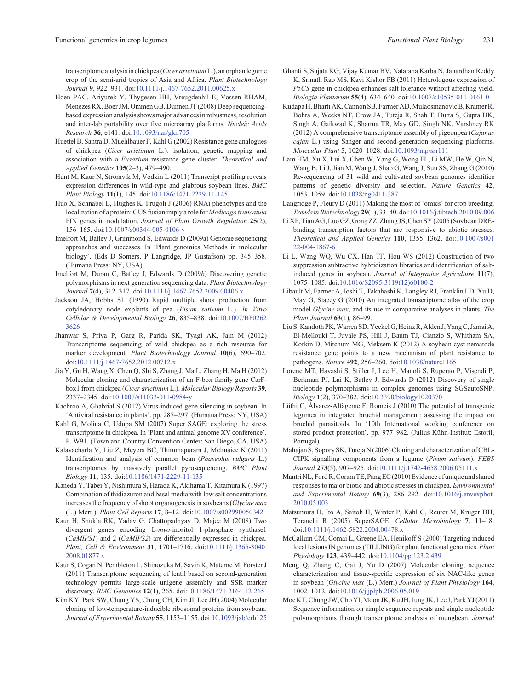<span id="page-10-0"></span>transcriptome analysis in chickpea (*Cicer arietinum*L.), an orphan legume crop of the semi-arid tropics of Asia and Africa. *Plant Biotechnology Journal* **9**, 922–931. doi:[10.1111/j.1467-7652.2011.00625.x](dx.doi.org/10.1111/j.1467-7652.2011.00625.x)

- Hoen PAC, Ariyurek Y, Thygesen HH, Vreugdenhil E, Vossen RHAM, Menezes RX, Boer JM, Ommen GB, Dunnen JT (2008) Deep sequencingbased expression analysis shows major advances in robustness, resolution and inter-lab portability over five microarray platforms. *Nucleic Acids Research* **36**, e141. doi:[10.1093/nar/gkn705](dx.doi.org/10.1093/nar/gkn705)
- Huettel B, Santra D, Muehlbauer F, Kahl G (2002) Resistance gene analogues of chickpea (*Cicer arietinum* L.): isolation, genetic mapping and association with a *Fusarium* resistance gene cluster. *Theoretical and Applied Genetics* **105**(2–3), 479–490.
- Hunt M, Kaur N, Stromvik M, Vodkin L (2011) Transcript profiling reveals expression differences in wild-type and glabrous soybean lines. *BMC Plant Biology* **11**(1), 145. doi:[10.1186/1471-2229-11-145](dx.doi.org/10.1186/1471-2229-11-145)
- Huo X, Schnabel E, Hughes K, Frugoli J (2006) RNAi phenotypes and the localization of a protein: GUS fusion imply a role for *Medicago truncatula* PIN genes in nodulation. *Journal of Plant Growth Regulation* **25**(2), 156–165. doi:[10.1007/s00344-005-0106-y](dx.doi.org/10.1007/s00344-005-0106-y)
- Imelfort M, Batley J, Grimmond S, Edwards D (2009a) Genome sequencing approaches and successes. In 'Plant genomics Methods in molecular biology'. (Eds D Somers, P Langridge, JP Gustafson) pp. 345–358. (Humana Press: NY, USA)
- Imelfort M, Duran C, Batley J, Edwards D (2009*b*) Discovering genetic polymorphisms in next generation sequencing data. *Plant Biotechnology Journal* **7**(4), 312–317. doi:[10.1111/j.1467-7652.2009.00406.x](dx.doi.org/10.1111/j.1467-7652.2009.00406.x)
- Jackson JA, Hobbs SL (1990) Rapid multiple shoot production from cotyledonary node explants of pea (*Pisum sativum* L.). *In Vitro Cellular & Developmental Biology* **26**, 835–838. doi:[10.1007/BF0262](dx.doi.org/10.1007/BF02623626) [3626](dx.doi.org/10.1007/BF02623626)
- Jhanwar S, Priya P, Garg R, Parida SK, Tyagi AK, Jain M (2012) Transcriptome sequencing of wild chickpea as a rich resource for marker development. *Plant Biotechnology Journal* **10**(6), 690–702. doi:[10.1111/j.1467-7652.2012.00712.x](dx.doi.org/10.1111/j.1467-7652.2012.00712.x)
- Jia Y, Gu H, Wang X, Chen Q, Shi S, Zhang J, Ma L, Zhang H, Ma H (2012) Molecular cloning and characterization of an F-box family gene CarFbox1 from chickpea (*Cicer arietinum* L.). *Molecular Biology Reports* **39**, 2337–2345. doi:[10.1007/s11033-011-0984-y](dx.doi.org/10.1007/s11033-011-0984-y)
- Kachroo A, Ghabrial S (2012) Virus-induced gene silencing in soybean. In 'Antiviral resistance in plants'. pp. 287–297. (Humana Press: NY, USA)
- Kahl G, Molina C, Udupa SM (2007) Super SAGE: exploring the stress transcriptome in chickpea. In 'Plant and animal genome XV conference'. P. W91. (Town and Country Convention Center: San Diego, CA, USA)
- Kalavacharla V, Liu Z, Meyers BC, Thimmapuram J, Melmaiee K (2011) Identification and analysis of common bean (*Phaseolus vulgaris* L.) transcriptomes by massively parallel pyrosequencing. *BMC Plant Biology* **11**, 135. doi:[10.1186/1471-2229-11-135](dx.doi.org/10.1186/1471-2229-11-135)
- Kaneda Y, Tabei Y, Nishimura S, Harada K, Akihama T, Kitamura K (1997) Combination of thidiazuron and basal media with low salt concentrations increases the frequency of shoot organogenesis in soybeans (*Glycine max* (L.) Merr.). *Plant Cell Reports* **17**, 8–12. doi:[10.1007/s002990050342](dx.doi.org/10.1007/s002990050342)
- Kaur H, Shukla RK, Yadav G, Chattopadhyay D, Majee M (2008) Two divergent genes encoding L-*myo*-inositol 1-phosphate synthase1 (*CaMIPS1*) and 2 (*CaMIPS2*) are differentially expressed in chickpea. *Plant, Cell & Environment* **31**, 1701–1716. doi[:10.1111/j.1365-3040.](dx.doi.org/10.1111/j.1365-3040.2008.01877.x) [2008.01877.x](dx.doi.org/10.1111/j.1365-3040.2008.01877.x)
- Kaur S, Cogan N, Pembleton L, Shinozuka M, Savin K, Materne M, Forster J (2011) Transcriptome sequencing of lentil based on second-generation technology permits large-scale unigene assembly and SSR marker discovery. *BMC Genomics* **12**(1), 265. doi[:10.1186/1471-2164-12-265](dx.doi.org/10.1186/1471-2164-12-265)
- Kim KY, Park SW, Chung YS, Chung CH, Kim JI, Lee JH (2004) Molecular cloning of low-temperature-inducible ribosomal proteins from soybean. *Journal of Experimental Botany* **55**, 1153–1155. doi[:10.1093/jxb/erh125](dx.doi.org/10.1093/jxb/erh125)
- Ghanti S, Sujata KG, Vijay Kumar BV, Nataraha Karba N, Janardhan Reddy K, Srinath Rao MS, Kavi Kishor PB (2011) Heterologous expression of *P5CS* gene in chickpea enhances salt tolerance without affecting yield. *Biologia Plantarum* **55**(4), 634–640. doi[:10.1007/s10535-011-0161-0](dx.doi.org/10.1007/s10535-011-0161-0)
- Kudapa H, Bharti AK, Cannon SB, Farmer AD, Mulaosmanovic B, Kramer R, Bohra A, Weeks NT, Crow JA, Tuteja R, Shah T, Dutta S, Gupta DK, Singh A, Gaikwad K, Sharma TR, May GD, Singh NK, Varshney RK (2012) A comprehensive transcriptome assembly of pigeonpea (*Cajanus cajan* L.) using Sanger and second-generation sequencing platforms. *Molecular Plant* **5**, 1020–1028. doi[:10.1093/mp/ssr111](dx.doi.org/10.1093/mp/ssr111)
- Lam HM, Xu X, Lui X, Chen W, Yang G, Wong FL, Li MW, He W, Qin N, Wang B, Li J, Jian M, Wang J, Shao G, Wang J, Sun SS, Zhang G (2010) Re-sequencing of 31 wild and cultivated soybean genomes identifies patterns of genetic diversity and selection. *Nature Genetics* **42**, 1053–1059. doi:[10.1038/ng0411-387](dx.doi.org/10.1038/ng0411-387)
- Langridge P, Fleury D (2011) Making the most of 'omics' for crop breeding. *Trendsin Biotechnology***29**(1), 33–40. doi[:10.1016/j.tibtech.2010.09.006](dx.doi.org/10.1016/j.tibtech.2010.09.006)
- Li XP, Tian AG, Luo GZ, Gong ZZ, Zhang JS,Chen SY (2005) Soybean DREbinding transcription factors that are responsive to abiotic stresses. *Theoretical and Applied Genetics* **110**, 1355–1362. doi:[10.1007/s001](dx.doi.org/10.1007/s00122-004-1867-6) [22-004-1867-6](dx.doi.org/10.1007/s00122-004-1867-6)
- Li L, Wang WQ, Wu CX, Han TF, Hou WS (2012) Construction of two suppression subtractive hybridization libraries and identification of saltinduced genes in soybean. *Journal of Integrative Agriculture* **11**(7), 1075–1085. doi:[10.1016/S2095-3119\(12\)60100-2](dx.doi.org/10.1016/S2095-3119(12)60100-2)
- Libault M, Farmer A, Joshi T, Takahashi K, Langley RJ, Franklin LD, Xu D, May G, Stacey G (2010) An integrated transcriptome atlas of the crop model *Glycine max*, and its use in comparative analyses in plants. *The Plant Journal* **63**(1), 86–99.
- Liu S, Kandoth PK,Warren SD, Yeckel G, Heinz R, Alden J, Yang C, Jamai A, El-Mellouki T, Juvale PS, Hill J, Baum TJ, Cianzio S, Whitham SA, Korkin D, Mitchum MG, Meksem K (2012) A soybean cyst nematode resistance gene points to a new mechanism of plant resistance to pathogens. *Nature* **492**, 256–260. doi[:10.1038/nature11651](dx.doi.org/10.1038/nature11651)
- Lorenc MT, Hayashi S, Stiller J, Lee H, Manoli S, Ruperao P, Visendi P, Berkman PJ, Lai K, Batley J, Edwards D (2012) Discovery of single nucleotide polymorphisms in complex genomes using SGSautoSNP. *Biology* **1**(2), 370–382. doi:[10.3390/biology1020370](dx.doi.org/10.3390/biology1020370)
- Lüthi C, Álvarez-Alfageme F, Romeis J (2010) The potential of transgenic legumes in integrated bruchid management: assessing the impact on bruchid parasitoids. In '10th International working conference on stored product protection'. pp. 977–982. (Julius Kühn-Institut: Estoril, Portugal)
- Mahajan S, Sopory SK, Tuteja N (2006) Cloning and characterization of CBL-CIPK signalling components from a legume (*Pisum sativum*). *FEBS Journal* **273**(5), 907–925. doi:[10.1111/j.1742-4658.2006.05111.x](dx.doi.org/10.1111/j.1742-4658.2006.05111.x)
- Mantri NL, Ford R, Coram TE, Pang EC (2010) Evidence of unique and shared responses to major biotic and abiotic stresses in chickpea. *Environmental and Experimental Botany* **69**(3), 286–292. doi[:10.1016/j.envexpbot.](dx.doi.org/10.1016/j.envexpbot.2010.05.003) [2010.05.003](dx.doi.org/10.1016/j.envexpbot.2010.05.003)
- Matsumura H, Ito A, Saitoh H, Winter P, Kahl G, Reuter M, Kruger DH, Terauchi R (2005) SuperSAGE. *Cellular Microbiology* **7**, 11–18. doi:[10.1111/j.1462-5822.2004.00478.x](dx.doi.org/10.1111/j.1462-5822.2004.00478.x)
- McCallum CM, Comai L, Greene EA, Henikoff S (2000) Targeting induced local lesions IN genomes (TILLING) for plant functional genomics. *Plant Physiology* **123**, 439–442. doi[:10.1104/pp.123.2.439](dx.doi.org/10.1104/pp.123.2.439)
- Meng Q, Zhang C, Gai J, Yu D (2007) Molecular cloning, sequence characterization and tissue-specific expression of six NAC-like genes in soybean (*Glycine max* (L.) Merr.) *Journal of Plant Physiology* **164**, 1002–1012. doi:[10.1016/j.jplph.2006.05.019](dx.doi.org/10.1016/j.jplph.2006.05.019)
- Moe KT, Chung JW, Cho YI, Moon JK, Ku JH, Jung JK, Lee J, Park YJ (2011) Sequence information on simple sequence repeats and single nucleotide polymorphisms through transcriptome analysis of mungbean. *Journal*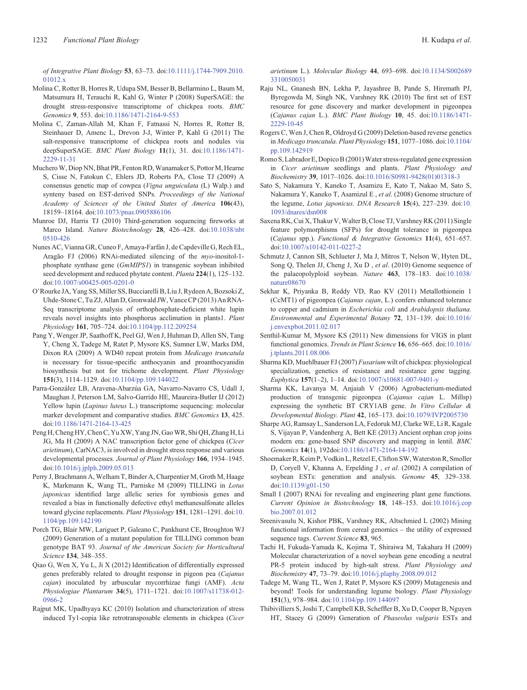<span id="page-11-0"></span>*of Integrative Plant Biology* **53**, 63–73. doi:[10.1111/j.1744-7909.2010.](dx.doi.org/10.1111/j.1744-7909.2010.01012.x) [01012.x](dx.doi.org/10.1111/j.1744-7909.2010.01012.x)

- Molina C, Rotter B, Horres R, Udupa SM, Besser B, Bellarmino L, Baum M, Matsumura H, Terauchi R, Kahl G, Winter P (2008) SuperSAGE: the drought stress-responsive transcriptome of chickpea roots. *BMC Genomics* **9**, 553. doi[:10.1186/1471-2164-9-553](dx.doi.org/10.1186/1471-2164-9-553)
- Molina C, Zaman-Allah M, Khan F, Fatnassi N, Horres R, Rotter B, Steinhauer D, Amenc L, Drevon J-J, Winter P, Kahl G (2011) The salt-responsive transcriptome of chickpea roots and nodules via deepSuperSAGE. *BMC Plant Biology* **11**(1), 31. doi[:10.1186/1471-](dx.doi.org/10.1186/1471-2229-11-31) [2229-11-31](dx.doi.org/10.1186/1471-2229-11-31)
- Muchero W, Diop NN, Bhat PR, Fenton RD, Wanamaker S, Pottor M, Hearne S, Cisse N, Fatokun C, Ehlers JD, Roberts PA, Close TJ (2009) A consensus genetic map of cowpea (*Vigna unguiculata* (L) Walp.) and synteny based on EST-derived SNPs. *Proceedings of the National Academy of Sciences of the United States of America* **106**(43), 18159–18164. doi:[10.1073/pnas.0905886106](dx.doi.org/10.1073/pnas.0905886106)
- Munroe DJ, Harris TJ (2010) Third-generation sequencing fireworks at Marco Island. *Nature Biotechnology* **28**, 426–428. doi:[10.1038/nbt](dx.doi.org/10.1038/nbt0510-426) [0510-426](dx.doi.org/10.1038/nbt0510-426)
- Nunes AC, Vianna GR, Cuneo F, Amaya-Farfán J, de Capdeville G, Rech EL, Aragão FJ (2006) RNAi-mediated silencing of the *myo*-inositol-1 phosphate synthase gene (*GmMIPS1*) in transgenic soybean inhibited seed development and reduced phytate content. *Planta* **224**(1), 125–132. doi:[10.1007/s00425-005-0201-0](dx.doi.org/10.1007/s00425-005-0201-0)
- O'Rourke JA, Yang SS, Miller SS, Bucciarelli B, Liu J, Rydeen A, Bozsoki Z, Uhde-Stone C, Tu ZJ, Allan D, Gronwald JW, Vance CP (2013) An RNA-Seq transcriptome analysis of orthophosphate-deficient white lupin reveals novel insights into phosphorus acclimation in plants1. *Plant Physiology* **161**, 705–724. doi[:10.1104/pp.112.209254](dx.doi.org/10.1104/pp.112.209254)
- Pang Y, Wenger JP, Saathoff K, Peel GJ, Wen J, Huhman D, Allen SN, Tang Y, Cheng X, Tadege M, Ratet P, Mysore KS, Sumner LW, Marks DM, Dixon RA (2009) A WD40 repeat protein from *Medicago truncatula* is necessary for tissue-specific anthocyanin and proanthocyanidin biosynthesis but not for trichome development. *Plant Physiology* **151**(3), 1114–1129. doi[:10.1104/pp.109.144022](dx.doi.org/10.1104/pp.109.144022)
- Parra-González LB, Aravena-Abarzúa GA, Navarro-Navarro CS, Udall J, Maughan J, Peterson LM, Salvo-Garrido HE, Maureira-Butler IJ (2012) Yellow lupin (*Lupinus luteus* L.) transcriptome sequencing: molecular marker development and comparative studies. *BMC Genomics* **13**, 425. doi:[10.1186/1471-2164-13-425](dx.doi.org/10.1186/1471-2164-13-425)
- Peng H, Cheng HY, Chen C, Yu XW, Yang JN, GaoWR, Shi QH, Zhang H, Li JG, Ma H (2009) A NAC transcription factor gene of chickpea (*Cicer arietinum*), CarNAC3, is involved in drought stress response and various developmental processes. *Journal of Plant Physiology* **166**, 1934–1945. doi:[10.1016/j.jplph.2009.05.013](dx.doi.org/10.1016/j.jplph.2009.05.013)
- Perry J, Brachmann A, Welham T, Binder A, Charpentier M, Groth M, Haage K, Markmann K, Wang TL, Parniske M (2009) TILLING in *Lotus japonicus* identified large allelic series for symbiosis genes and revealed a bias in functionally defective ethyl methanesulfonate alleles toward glycine replacements. *Plant Physiology* **151**, 1281–1291. doi:[10.](dx.doi.org/10.1104/pp.109.142190) [1104/pp.109.142190](dx.doi.org/10.1104/pp.109.142190)
- Porch TG, Blair MW, Lariguet P, Galeano C, Pankhurst CE, Broughton WJ (2009) Generation of a mutant population for TILLING common bean genotype BAT 93. *Journal of the American Society for Horticultural Science* **134**, 348–355.
- Qiao G, Wen X, Yu L, Ji X (2012) Identification of differentially expressed genes preferably related to drought response in pigeon pea (*Cajanus cajan*) inoculated by arbuscular mycorrhizae fungi (AMF). *Acta Physiologiae Plantarum* **34**(5), 1711–1721. doi:[10.1007/s11738-012-](dx.doi.org/10.1007/s11738-012-0966-2) [0966-2](dx.doi.org/10.1007/s11738-012-0966-2)
- Rajput MK, Upadhyaya KC (2010) Isolation and characterization of stress induced Ty1-copia like retrotransposable elements in chickpea (*Cicer*

*arietinum* L.). *Molecular Biology* **44**, 693–698. doi:[10.1134/S002689](dx.doi.org/10.1134/S0026893310050031) [3310050031](dx.doi.org/10.1134/S0026893310050031)

- Raju NL, Gnanesh BN, Lekha P, Jayashree B, Pande S, Hiremath PJ, Byregowda M, Singh NK, Varshney RK (2010) The first set of EST resource for gene discovery and marker development in pigeonpea (*Cajanus cajan* L.). *BMC Plant Biology* **10**, 45. doi[:10.1186/1471-](dx.doi.org/10.1186/1471-2229-10-45) [2229-10-45](dx.doi.org/10.1186/1471-2229-10-45)
- Rogers C, Wen J, Chen R, Oldroyd G (2009) Deletion-based reverse genetics in *Medicago truncatula. Plant Physiology* **151**, 1077–1086. doi:[10.1104/](dx.doi.org/10.1104/pp.109.142919) [pp.109.142919](dx.doi.org/10.1104/pp.109.142919)
- Romo S, Labrador E, Dopico B (2001) Water stress-regulated gene expression in *Cicer arietinum* seedlings and plants. *Plant Physiology and Biochemistry* **39**, 1017–1026. doi:[10.1016/S0981-9428\(01\)01318-3](dx.doi.org/10.1016/S0981-9428(01)01318-3)
- Sato S, Nakamura Y, Kaneko T, Asamizu E, Kato T, Nakao M, Sato S, Nakamura Y, Kaneko T, Asamizul E , *et al*. (2008) Genome structure of the legume, *Lotus japonicus. DNA Research* **15**(4), 227–239. doi:[10.](dx.doi.org/10.1093/dnares/dsn008) [1093/dnares/dsn008](dx.doi.org/10.1093/dnares/dsn008)
- Saxena RK, Cui X, Thakur V, Walter B, Close TJ, Varshney RK (2011) Single feature polymorphisms (SFPs) for drought tolerance in pigeonpea (*Cajanus* spp.). *Functional & Integrative Genomics* **11**(4), 651–657. doi[:10.1007/s10142-011-0227-2](dx.doi.org/10.1007/s10142-011-0227-2)
- Schmutz J, Cannon SB, Schlueter J, Ma J, Mitros T, Nelson W, Hyten DL, Song Q, Thelen JJ, Cheng J, Xu D , *et al*. (2010) Genome sequence of the palaeopolyploid soybean. *Nature* **463**, 178–183. doi:[10.1038/](dx.doi.org/10.1038/nature08670) [nature08670](dx.doi.org/10.1038/nature08670)
- Sekhar K, Priyanka B, Reddy VD, Rao KV (2011) Metallothionein 1 (CcMT1) of pigeonpea (*Cajanus cajan*, L.) confers enhanced tolerance to copper and cadmium in *Escherichia coli* and *Arabidopsis thaliana. Environmental and Experimental Botany* **72**, 131–139. doi:[10.1016/](dx.doi.org/10.1016/j.envexpbot.2011.02.017) [j.envexpbot.2011.02.017](dx.doi.org/10.1016/j.envexpbot.2011.02.017)
- Senthil-Kumar M, Mysore KS (2011) New dimensions for VIGS in plant functional genomics. *Trends in Plant Science* **16**, 656–665. doi:[10.1016/](dx.doi.org/10.1016/j.tplants.2011.08.006) [j.tplants.2011.08.006](dx.doi.org/10.1016/j.tplants.2011.08.006)
- Sharma KD, Muehlbauer FJ (2007) *Fusarium* wilt of chickpea: physiological specialization, genetics of resistance and resistance gene tagging. *Euphytica* **157**(1–2), 1–14. doi:[10.1007/s10681-007-9401-y](dx.doi.org/10.1007/s10681-007-9401-y)
- Sharma KK, Lavanya M, Anjaiah V (2006) Agrobacterium-mediated production of transgenic pigeonpea (*Cajanus cajan* L. Millsp) expressing the synthetic BT CRY1AB gene. *In Vitro Cellular & Developmental Biology. Plant* **42**, 165–173. doi[:10.1079/IVP2005730](dx.doi.org/10.1079/IVP2005730)
- Sharpe AG, Ramsay L, Sanderson LA, Fedoruk MJ, Clarke WE, Li R, Kagale S, Vijayan P, Vandenberg A, Bett KE (2013) Ancient orphan crop joins modern era: gene-based SNP discovery and mapping in lentil. *BMC Genomics* **14**(1), 192doi[:10.1186/1471-2164-14-192](dx.doi.org/10.1186/1471-2164-14-192)
- Shoemaker R, Keim P, Vodkin L, Retzel E, Clifton SW, Waterston R, Smoller D, Coryell V, Khanna A, Erpelding J , *et al*. (2002) A compilation of soybean ESTs: generation and analysis. *Genome* **45**, 329–338. doi[:10.1139/g01-150](dx.doi.org/10.1139/g01-150)
- Small I (2007) RNAi for revealing and engineering plant gene functions. *Current Opinion in Biotechnology* **18**, 148–153. doi[:10.1016/j.cop](dx.doi.org/10.1016/j.copbio.2007.01.012) [bio.2007.01.012](dx.doi.org/10.1016/j.copbio.2007.01.012)
- Sreenivasulu N, Kishor PBK, Varshney RK, Altschmied L (2002) Mining functional information from cereal genomics – the utility of expressed sequence tags. *Current Science* **83**, 965.
- Tachi H, Fukuda-Yamada K, Kojima T, Shiraiwa M, Takahara H (2009) Molecular characterization of a novel soybean gene encoding a neutral PR-5 protein induced by high-salt stress. *Plant Physiology and Biochemistry* **47**, 73–79. doi[:10.1016/j.plaphy.2008.09.012](dx.doi.org/10.1016/j.plaphy.2008.09.012)
- Tadege M, Wang TL, Wen J, Ratet P, Mysore KS (2009) Mutagenesis and beyond! Tools for understanding legume biology. *Plant Physiology* **151**(3), 978–984. doi[:10.1104/pp.109.144097](dx.doi.org/10.1104/pp.109.144097)
- Thibivilliers S, Joshi T, Campbell KB, Scheffler B, Xu D, Cooper B, Nguyen HT, Stacey G (2009) Generation of *Phaseolus vulgaris* ESTs and